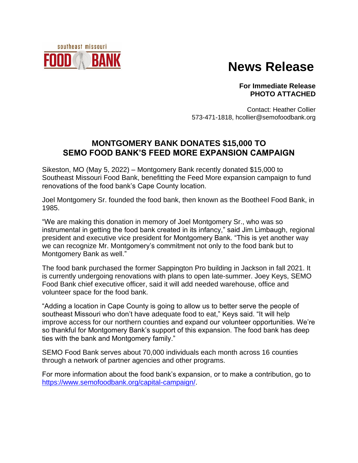

## **News Release**

**For Immediate Release PHOTO ATTACHED**

Contact: Heather Collier 573-471-1818, hcollier@semofoodbank.org

## **MONTGOMERY BANK DONATES \$15,000 TO SEMO FOOD BANK'S FEED MORE EXPANSION CAMPAIGN**

Sikeston, MO (May 5, 2022) – Montgomery Bank recently donated \$15,000 to Southeast Missouri Food Bank, benefitting the Feed More expansion campaign to fund renovations of the food bank's Cape County location.

Joel Montgomery Sr. founded the food bank, then known as the Bootheel Food Bank, in 1985.

"We are making this donation in memory of Joel Montgomery Sr., who was so instrumental in getting the food bank created in its infancy," said Jim Limbaugh, regional president and executive vice president for Montgomery Bank. "This is yet another way we can recognize Mr. Montgomery's commitment not only to the food bank but to Montgomery Bank as well."

The food bank purchased the former Sappington Pro building in Jackson in fall 2021. It is currently undergoing renovations with plans to open late-summer. Joey Keys, SEMO Food Bank chief executive officer, said it will add needed warehouse, office and volunteer space for the food bank.

"Adding a location in Cape County is going to allow us to better serve the people of southeast Missouri who don't have adequate food to eat," Keys said. "It will help improve access for our northern counties and expand our volunteer opportunities. We're so thankful for Montgomery Bank's support of this expansion. The food bank has deep ties with the bank and Montgomery family."

SEMO Food Bank serves about 70,000 individuals each month across 16 counties through a network of partner agencies and other programs.

For more information about the food bank's expansion, or to make a contribution, go to [https://www.semofoodbank.org/capital-campaign/.](https://www.semofoodbank.org/capital-campaign/)